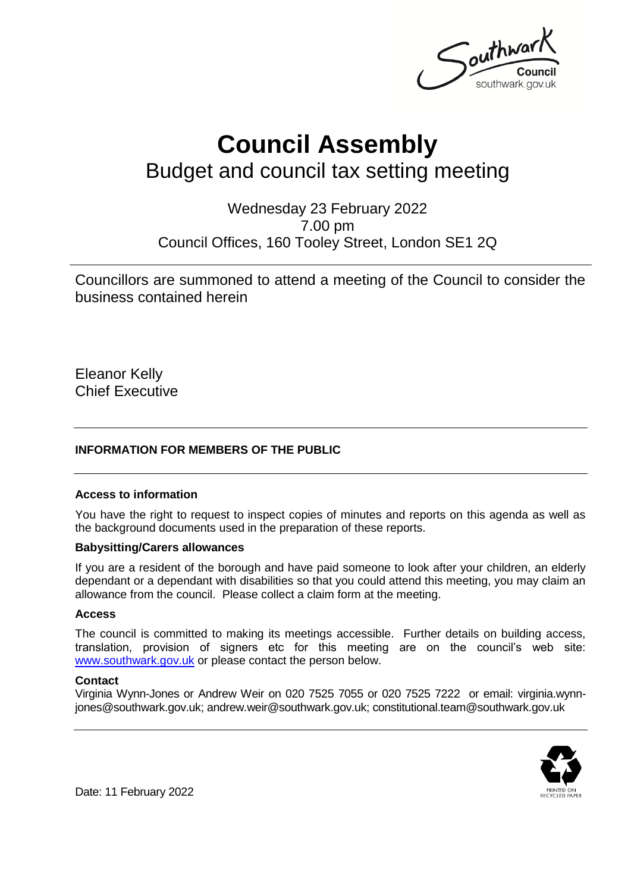Southway southwark.gov.uk

# **Council Assembly** Budget and council tax setting meeting

Wednesday 23 February 2022 7.00 pm Council Offices, 160 Tooley Street, London SE1 2Q

Councillors are summoned to attend a meeting of the Council to consider the business contained herein

Eleanor Kelly Chief Executive

### **INFORMATION FOR MEMBERS OF THE PUBLIC**

#### **Access to information**

You have the right to request to inspect copies of minutes and reports on this agenda as well as the background documents used in the preparation of these reports.

#### **Babysitting/Carers allowances**

If you are a resident of the borough and have paid someone to look after your children, an elderly dependant or a dependant with disabilities so that you could attend this meeting, you may claim an allowance from the council. Please collect a claim form at the meeting.

#### **Access**

The council is committed to making its meetings accessible. Further details on building access, translation, provision of signers etc for this meeting are on the council's web site: [www.southwark.gov.uk](http://www.southwark.gov.uk/Public/Home.aspx) or please contact the person below.

#### **Contact**

Virginia Wynn-Jones or Andrew Weir on 020 7525 7055 or 020 7525 7222 or email: virginia.wynnjones@southwark.gov.uk; andrew.weir@southwark.gov.uk; constitutional.team@southwark.gov.uk



Date: 11 February 2022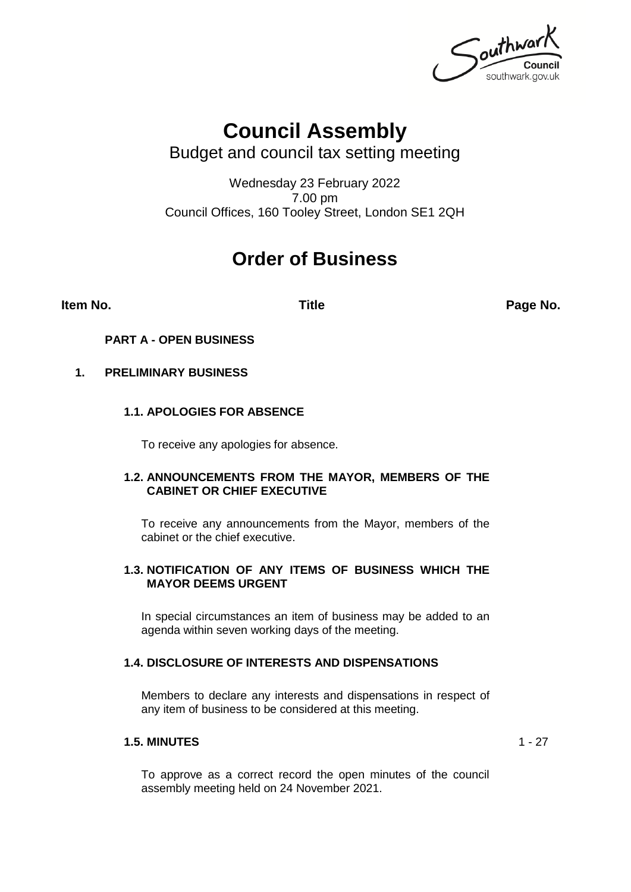outhwark southwark.gov.uk

# **Council Assembly**

Budget and council tax setting meeting

Wednesday 23 February 2022 7.00 pm Council Offices, 160 Tooley Street, London SE1 2QH

# **Order of Business**

**Item No. Title Page No.**

**PART A - OPEN BUSINESS**

# **1. PRELIMINARY BUSINESS**

# **1.1. APOLOGIES FOR ABSENCE**

To receive any apologies for absence.

### **1.2. ANNOUNCEMENTS FROM THE MAYOR, MEMBERS OF THE CABINET OR CHIEF EXECUTIVE**

To receive any announcements from the Mayor, members of the cabinet or the chief executive.

### **1.3. NOTIFICATION OF ANY ITEMS OF BUSINESS WHICH THE MAYOR DEEMS URGENT**

In special circumstances an item of business may be added to an agenda within seven working days of the meeting.

### **1.4. DISCLOSURE OF INTERESTS AND DISPENSATIONS**

Members to declare any interests and dispensations in respect of any item of business to be considered at this meeting.

### **1.5. MINUTES** 1 - 27

To approve as a correct record the open minutes of the council assembly meeting held on 24 November 2021.